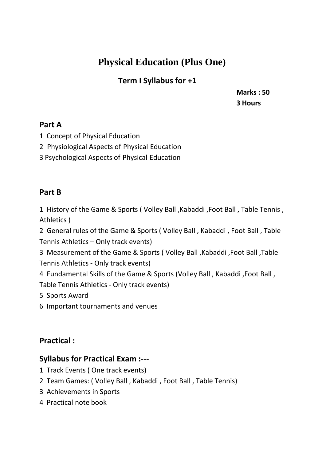## **Physical Education (Plus One)**

## **Term I Syllabus for +1**

**Marks : 50 3 Hours**

#### **Part A**

- 1 Concept of Physical Education
- 2 Physiological Aspects of Physical Education
- 3 Psychological Aspects of Physical Education

### **Part B**

1 History of the Game & Sports ( Volley Ball ,Kabaddi ,Foot Ball , Table Tennis , Athletics )

2 General rules of the Game & Sports ( Volley Ball , Kabaddi , Foot Ball , Table Tennis Athletics – Only track events)

3 Measurement of the Game & Sports ( Volley Ball ,Kabaddi ,Foot Ball ,Table Tennis Athletics - Only track events)

4 Fundamental Skills of the Game & Sports (Volley Ball , Kabaddi ,Foot Ball , Table Tennis Athletics - Only track events)

5 Sports Award

6 Important tournaments and venues

## **Practical :**

## **Syllabus for Practical Exam :---**

- 1 Track Events ( One track events)
- 2 Team Games: ( Volley Ball , Kabaddi , Foot Ball , Table Tennis)
- 3 Achievements in Sports
- 4 Practical note book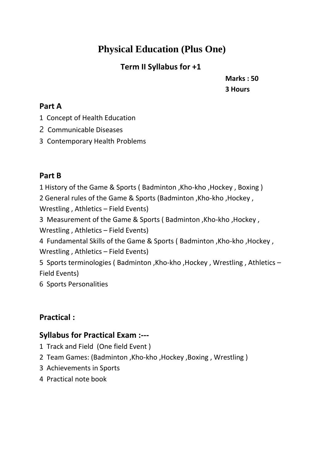# **Physical Education (Plus One)**

## **Term II Syllabus for +1**

**Marks : 50 3 Hours**

#### **Part A**

- 1 Concept of Health Education
- 2 Communicable Diseases
- 3 Contemporary Health Problems

#### **Part B**

 History of the Game & Sports ( Badminton ,Kho-kho ,Hockey , Boxing ) General rules of the Game & Sports (Badminton ,Kho-kho ,Hockey , Wrestling , Athletics – Field Events) Measurement of the Game & Sports ( Badminton ,Kho-kho ,Hockey , Wrestling , Athletics – Field Events) Fundamental Skills of the Game & Sports ( Badminton ,Kho-kho ,Hockey , Wrestling , Athletics – Field Events) Sports terminologies ( Badminton ,Kho-kho ,Hockey , Wrestling , Athletics –

Field Events)

6 Sports Personalities

## **Practical :**

## **Syllabus for Practical Exam :---**

- 1 Track and Field (One field Event )
- 2 Team Games: (Badminton ,Kho-kho ,Hockey ,Boxing , Wrestling )
- 3 Achievements in Sports
- 4 Practical note book